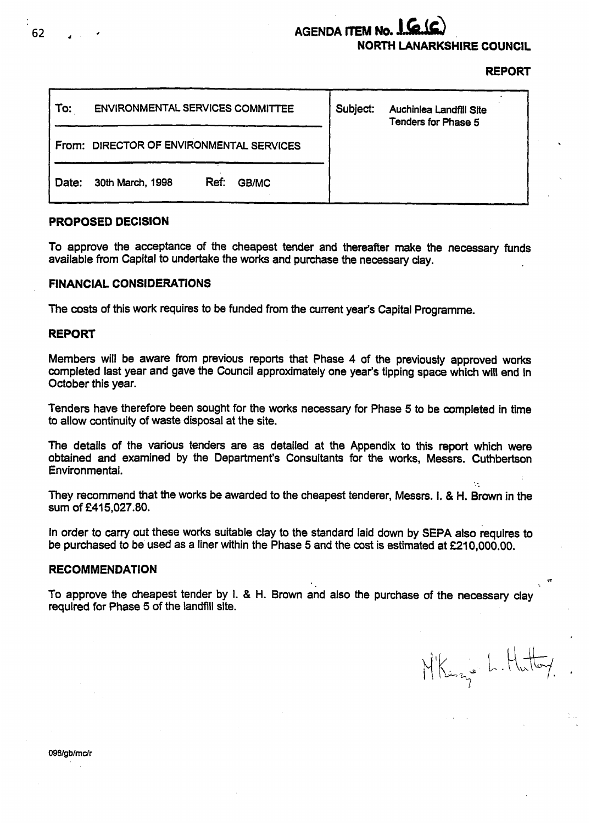## AGENDA ITEM No. 1.6.16 **NORTH LANARKSHIRE COUNCIL**

### **REPORT**

| To:   | <b>ENVIRONMENTAL SERVICES COMMITTEE</b> |      |       | Subject: | Auchiniea Landfill Site<br>Tenders for Phase 5 |
|-------|-----------------------------------------|------|-------|----------|------------------------------------------------|
| From: | DIRECTOR OF ENVIRONMENTAL SERVICES      |      |       |          |                                                |
| Date: | 30th March, 1998                        | Ref: | GB/MC |          |                                                |

#### **PROPOSED DECISION**

To approve the acceptance of the cheapest tender and thereafter make the necessary funds available ftom Capital to undertake the works and purchase the necessary clay.

#### **FINANCIAL CONSIDERATIONS**

The costs of this work requires to be funded from the current year's Capital Programme.

#### **REPORT**

Members will be aware from previous reports that Phase 4 of the previously approved works completed last year and gave the Council approximately one year's tipping space which will end in October this year.

Tenders have therefore been sought for the works necessary for Phase 5 to be completed in time to allow continuity of waste disposal at the site.

The details of the various tenders are as detailed at the Appendix to this report which were obtained and examined by the Department's Consultants for the works, Messrs. Cuthbertson Environmental. ..

They recommend that the works be awarded to the cheapest tenderer, Messrs. 1. & H. Brown in the sum **of f415,027.80.** 

In order to carry out these works suitable clay to the standard laid down by **SEPA** also requires to be purchased to be used as a liner within the Phase 5 and the cost **is** estimated at **E210,OOO.OO.** 

# **n RECOMMENDATION**

To approve the cheapest tender by **1.** & H. Brown and also the purchase of the necessary clay ' required for Phase 5 of the landfill site.

Mikenz's L. Hutter

**62**